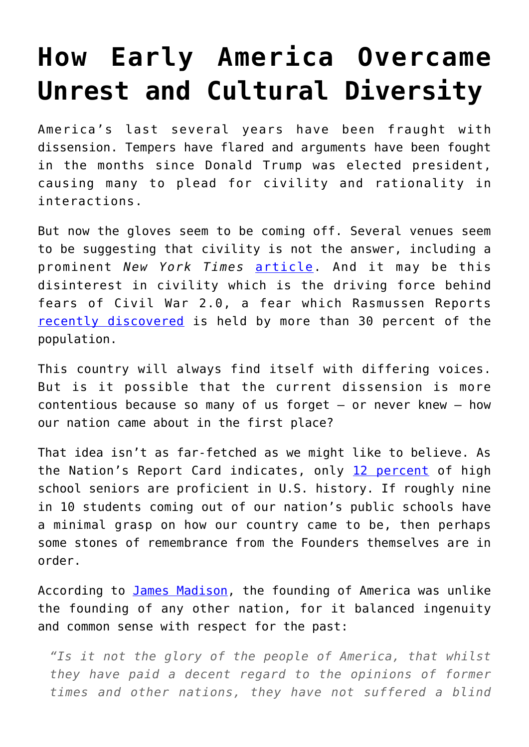## **[How Early America Overcame](https://intellectualtakeout.org/2018/07/how-early-america-overcame-unrest-and-cultural-diversity/) [Unrest and Cultural Diversity](https://intellectualtakeout.org/2018/07/how-early-america-overcame-unrest-and-cultural-diversity/)**

America's last several years have been fraught with dissension. Tempers have flared and arguments have been fought in the months since Donald Trump was elected president, causing many to plead for civility and rationality in interactions.

But now the gloves seem to be coming off. Several venues seem to be suggesting that civility is not the answer, including a prominent *New York Times* [article](https://www.nytimes.com/2018/06/29/opinion/civility-protest-civil-rights.html). And it may be this disinterest in civility which is the driving force behind fears of Civil War 2.0, a fear which Rasmussen Reports [recently discovered](http://www.rasmussenreports.com/public_content/politics/general_politics/june_2018/31_think_u_s_civil_war_likely_soon) is held by more than 30 percent of the population.

This country will always find itself with differing voices. But is it possible that the current dissension is more contentious because so many of us forget – or never knew – how our nation came about in the first place?

That idea isn't as far-fetched as we might like to believe. As the Nation's Report Card indicates, only [12 percent](https://www.nationsreportcard.gov/) of high school seniors are proficient in U.S. history. If roughly nine in 10 students coming out of our nation's public schools have a minimal grasp on how our country came to be, then perhaps some stones of remembrance from the Founders themselves are in order.

According to [James Madison](http://press-pubs.uchicago.edu/founders/print_documents/v1ch4s22.html), the founding of America was unlike the founding of any other nation, for it balanced ingenuity and common sense with respect for the past:

*"Is it not the glory of the people of America, that whilst they have paid a decent regard to the opinions of former times and other nations, they have not suffered a blind*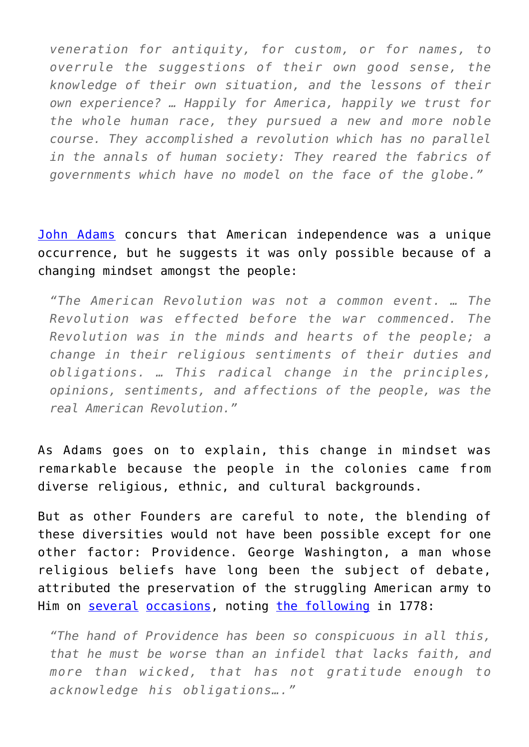*veneration for antiquity, for custom, or for names, to overrule the suggestions of their own good sense, the knowledge of their own situation, and the lessons of their own experience? … Happily for America, happily we trust for the whole human race, they pursued a new and more noble course. They accomplished a revolution which has no parallel in the annals of human society: They reared the fabrics of governments which have no model on the face of the globe."* 

[John Adams](https://founders.archives.gov/documents/Adams/99-02-02-6854) concurs that American independence was a unique occurrence, but he suggests it was only possible because of a changing mindset amongst the people:

*"The American Revolution was not a common event. … The Revolution was effected before the war commenced. The Revolution was in the minds and hearts of the people; a change in their religious sentiments of their duties and obligations. … This radical change in the principles, opinions, sentiments, and affections of the people, was the real American Revolution."*

As Adams goes on to explain, this change in mindset was remarkable because the people in the colonies came from diverse religious, ethnic, and cultural backgrounds.

But as other Founders are careful to note, the blending of these diversities would not have been possible except for one other factor: Providence. George Washington, a man whose religious beliefs have long been the subject of debate, attributed the preservation of the struggling American army to Him on [several](http://founders.archives.gov/documents/Washington/03-03-02-0062) [occasions,](http://founders.archives.gov/documents/Washington/03-06-02-0379) noting [the following](https://founders.archives.gov/documents/Washington/03-16-02-0373) in 1778:

*"The hand of Providence has been so conspicuous in all this, that he must be worse than an infidel that lacks faith, and more than wicked, that has not gratitude enough to acknowledge his obligations…."*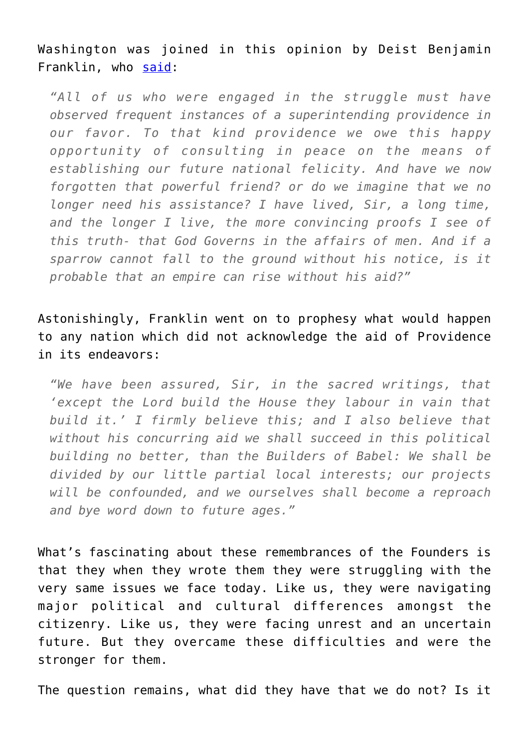Washington was joined in this opinion by Deist Benjamin Franklin, who [said:](http://avalon.law.yale.edu/18th_century/debates_628.asp)

*"All of us who were engaged in the struggle must have observed frequent instances of a superintending providence in our favor. To that kind providence we owe this happy opportunity of consulting in peace on the means of establishing our future national felicity. And have we now forgotten that powerful friend? or do we imagine that we no longer need his assistance? I have lived, Sir, a long time, and the longer I live, the more convincing proofs I see of this truth- that God Governs in the affairs of men. And if a sparrow cannot fall to the ground without his notice, is it probable that an empire can rise without his aid?"*

Astonishingly, Franklin went on to prophesy what would happen to any nation which did not acknowledge the aid of Providence in its endeavors:

*"We have been assured, Sir, in the sacred writings, that 'except the Lord build the House they labour in vain that build it.' I firmly believe this; and I also believe that without his concurring aid we shall succeed in this political building no better, than the Builders of Babel: We shall be divided by our little partial local interests; our projects will be confounded, and we ourselves shall become a reproach and bye word down to future ages."*

What's fascinating about these remembrances of the Founders is that they when they wrote them they were struggling with the very same issues we face today. Like us, they were navigating major political and cultural differences amongst the citizenry. Like us, they were facing unrest and an uncertain future. But they overcame these difficulties and were the stronger for them.

The question remains, what did they have that we do not? Is it